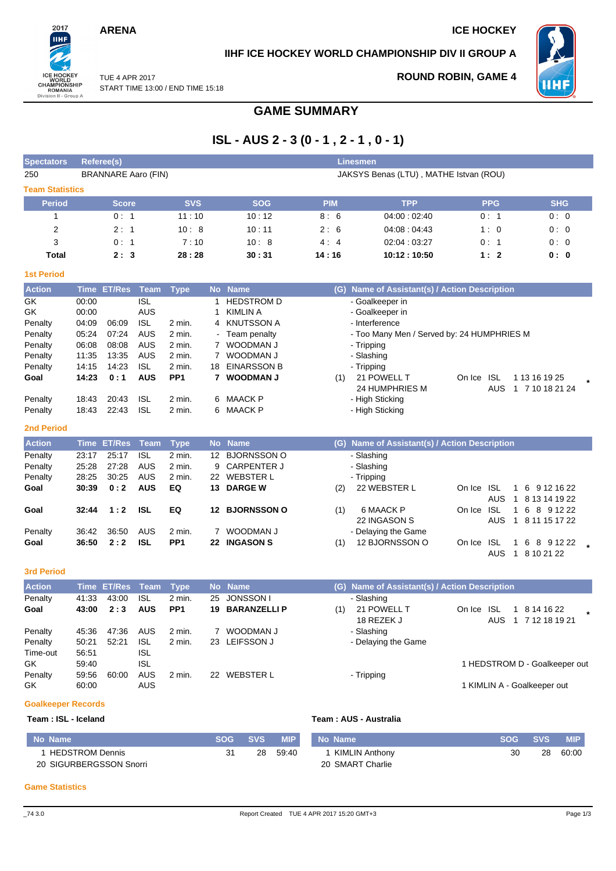## **ARENA** ICE HOCKEY

2017 шĤ

ICE HOCKEY<br>
WORLD<br>
CHAMPIONSHIP<br>
ROMANIA<br>
Division II - Group A

## **IIHF ICE HOCKEY WORLD CHAMPIONSHIP DIV II GROUP A**



TUE 4 APR 2017 START TIME 13:00 / END TIME 15:18

## **ROUND ROBIN, GAME 4**

|  | START TIME 13:00 / END TIME 15:18 |
|--|-----------------------------------|
|  |                                   |

# **GAME SUMMARY**

# **ISL - AUS 2 - 3 (0 - 1 , 2 - 1 , 0 - 1)**

| <b>Spectators</b>      |                | Referee(s)                 |                          |                           |                                        |                             |            | <b>Linesmen</b>                               |            |            |                                              |  |  |
|------------------------|----------------|----------------------------|--------------------------|---------------------------|----------------------------------------|-----------------------------|------------|-----------------------------------------------|------------|------------|----------------------------------------------|--|--|
| 250                    |                | <b>BRANNARE Aaro (FIN)</b> |                          |                           | JAKSYS Benas (LTU), MATHE Istvan (ROU) |                             |            |                                               |            |            |                                              |  |  |
| <b>Team Statistics</b> |                |                            |                          |                           |                                        |                             |            |                                               |            |            |                                              |  |  |
| <b>Period</b>          |                | <b>Score</b>               |                          | <b>SVS</b>                |                                        | <b>SOG</b>                  | <b>PIM</b> | <b>TPP</b>                                    |            | <b>PPG</b> | <b>SHG</b>                                   |  |  |
| $\mathbf{1}$           |                | 0:1                        |                          | 11:10                     |                                        | 10:12                       | 8:6        | 04:00:02:40                                   |            | 0:1        | 0:0                                          |  |  |
| $\overline{2}$         |                | 2:1                        |                          | 10:8                      |                                        | 10:11                       | 2:6        | 04:08:04:43                                   |            | 1:0        | 0:0                                          |  |  |
| 3                      |                | 0:1                        |                          | 7:10                      |                                        | 10:8                        | 4:4        | 02:04:03:27                                   |            | 0:1        | 0:0                                          |  |  |
| <b>Total</b>           |                | 2:3                        |                          | 28:28                     |                                        | 30:31                       | 14:16      | 10:12:10:50                                   |            | 1:2        | 0:0                                          |  |  |
| <b>1st Period</b>      |                |                            |                          |                           |                                        |                             |            |                                               |            |            |                                              |  |  |
| <b>Action</b>          | <b>Time</b>    | <b>ET/Res</b>              | <b>Team</b>              | <b>Type</b>               |                                        | No Name                     | (G)        | Name of Assistant(s) / Action Description     |            |            |                                              |  |  |
| GK                     | 00:00          |                            | <b>ISL</b>               |                           | $\mathbf 1$                            | <b>HEDSTROM D</b>           |            | - Goalkeeper in                               |            |            |                                              |  |  |
| GK                     | 00:00          |                            | <b>AUS</b>               |                           | $\mathbf{1}$                           | <b>KIMLIN A</b>             |            | - Goalkeeper in                               |            |            |                                              |  |  |
| Penalty                | 04:09          | 06:09                      | <b>ISL</b>               | 2 min.                    |                                        | 4 KNUTSSON A                |            | - Interference                                |            |            |                                              |  |  |
| Penalty                | 05:24          | 07:24                      | <b>AUS</b>               | 2 min.                    |                                        | Team penalty                |            | - Too Many Men / Served by: 24 HUMPHRIES M    |            |            |                                              |  |  |
| Penalty                | 06:08          | 08:08                      | <b>AUS</b><br><b>AUS</b> | 2 min.                    | 7                                      | 7 WOODMAN J                 |            | - Tripping                                    |            |            |                                              |  |  |
| Penalty<br>Penalty     | 11:35<br>14:15 | 13:35<br>14:23             | <b>ISL</b>               | 2 min.<br>2 min.          |                                        | WOODMAN J<br>18 EINARSSON B |            | - Slashing<br>- Tripping                      |            |            |                                              |  |  |
| Goal                   | 14:23          | 0:1                        | <b>AUS</b>               | PP <sub>1</sub>           | $\mathbf{7}$                           | <b>WOODMAN J</b>            | (1)        | 21 POWELL T                                   | On Ice ISL |            | 1 13 16 19 25                                |  |  |
|                        |                |                            |                          |                           |                                        |                             |            | 24 HUMPHRIES M                                |            | <b>AUS</b> | 1 7 10 18 21 24                              |  |  |
| Penalty                | 18:43          | 20:43                      | <b>ISL</b>               | 2 min.                    | 6                                      | <b>MAACK P</b>              |            | - High Sticking                               |            |            |                                              |  |  |
| Penalty                | 18:43          | 22:43                      | <b>ISL</b>               | 2 min.                    | 6                                      | <b>MAACK P</b>              |            | - High Sticking                               |            |            |                                              |  |  |
| <b>2nd Period</b>      |                |                            |                          |                           |                                        |                             |            |                                               |            |            |                                              |  |  |
| <b>Action</b>          |                | Time ET/Res                | <b>Team</b>              | <b>Type</b>               |                                        | No Name                     |            | (G) Name of Assistant(s) / Action Description |            |            |                                              |  |  |
| Penalty                | 23:17          | 25:17                      | <b>ISL</b>               | 2 min.                    | 12 <sup>2</sup>                        | <b>BJORNSSON O</b>          |            | - Slashing                                    |            |            |                                              |  |  |
| Penalty                | 25:28          | 27:28                      | <b>AUS</b>               | 2 min.                    |                                        | 9 CARPENTER J               |            | - Slashing                                    |            |            |                                              |  |  |
| Penalty                | 28:25          | 30:25                      | <b>AUS</b>               | 2 min.                    |                                        | 22 WEBSTER L                |            | - Tripping                                    |            |            |                                              |  |  |
| Goal                   | 30:39          | 0:2                        | <b>AUS</b>               | EQ                        |                                        | 13 DARGE W                  | (2)        | 22 WEBSTER L                                  | On Ice ISL |            | 6 9 12 16 22<br>$\mathbf{1}$                 |  |  |
|                        |                |                            |                          |                           |                                        |                             |            |                                               |            | <b>AUS</b> | $\mathbf{1}$<br>8 13 14 19 22                |  |  |
| Goal                   | 32:44          | 1:2                        | <b>ISL</b>               | EQ                        |                                        | 12 BJORNSSON O              | (1)        | 6 MAACK P                                     | On Ice ISL |            | 1 6 8 9 12 22                                |  |  |
|                        |                |                            |                          |                           |                                        |                             |            | 22 INGASON S                                  |            | <b>AUS</b> | 8 11 15 17 22<br>$\mathbf{1}$                |  |  |
| Penalty                | 36:42<br>36:50 | 36.50<br>2:2               | <b>AUS</b><br><b>ISL</b> | 2 min.<br>PP <sub>1</sub> |                                        | 7 WOODMAN J<br>22 INGASON S |            | - Delaying the Game<br>12 BJORNSSON O         |            | <b>ISL</b> |                                              |  |  |
| Goal                   |                |                            |                          |                           |                                        |                             | (1)        |                                               | On Ice     | <b>AUS</b> | $\mathbf 1$<br>6 8 9 1 2 2 2<br>1 8 10 21 22 |  |  |
| <b>3rd Period</b>      |                |                            |                          |                           |                                        |                             |            |                                               |            |            |                                              |  |  |
| <b>Action</b>          | <b>Time</b>    | <b>ET/Res</b>              | <b>Team</b>              | <b>Type</b>               | <b>No</b>                              | <b>Name</b>                 |            | (G) Name of Assistant(s) / Action Description |            |            |                                              |  |  |
| Penalty                | 41:33          | 43:00                      | ISL                      | 2 min.                    | 25                                     | <b>JONSSON1</b>             |            | - Slashing                                    |            |            |                                              |  |  |
| Goal                   | 43:00          | 2:3                        | <b>AUS</b>               | PP <sub>1</sub>           |                                        | 19 BARANZELLI P             | (1)        | 21 POWELL T<br>18 REZEK J                     | On Ice ISL | AUS        | 1 8 14 16 22<br>1 7 12 18 19 21              |  |  |
| Penalty                | 45:36          | 47:36                      | AUS                      | 2 min.                    | $7^{\circ}$                            | WOODMAN J                   |            | - Slashing                                    |            |            |                                              |  |  |
| Penalty                | 50:21          | 52:21                      | <b>ISL</b>               | 2 min.                    | 23                                     | <b>LEIFSSON J</b>           |            | - Delaying the Game                           |            |            |                                              |  |  |
| Time-out               | 56:51          |                            | <b>ISL</b>               |                           |                                        |                             |            |                                               |            |            |                                              |  |  |
| GK                     | 59:40          |                            | <b>ISL</b>               |                           |                                        |                             |            |                                               |            |            | 1 HEDSTROM D - Goalkeeper out                |  |  |
| Penalty                | 59:56          | 60:00                      | AUS                      | 2 min.                    |                                        | 22 WEBSTER L                |            | - Tripping                                    |            |            |                                              |  |  |
| GK                     | 60:00          |                            | <b>AUS</b>               |                           |                                        |                             |            |                                               |            |            | 1 KIMLIN A - Goalkeeper out                  |  |  |

# **Goalkeeper Records**

## **Team : ISL - Iceland Team : AUS - Australia**

| No Name                 | <b>SOG</b> | SVS <b>SVS</b> | <b>MIP</b> | No Name          | <b>SOG</b> | <b>SVS</b> | MIP.  |
|-------------------------|------------|----------------|------------|------------------|------------|------------|-------|
| <b>HEDSTROM Dennis</b>  |            | 28             | 59:40      | KIMLIN Anthony   | 30         | 28         | 60:00 |
| 20 SIGURBERGSSON Snorri |            |                |            | 20 SMART Charlie |            |            |       |

### **Game Statistics**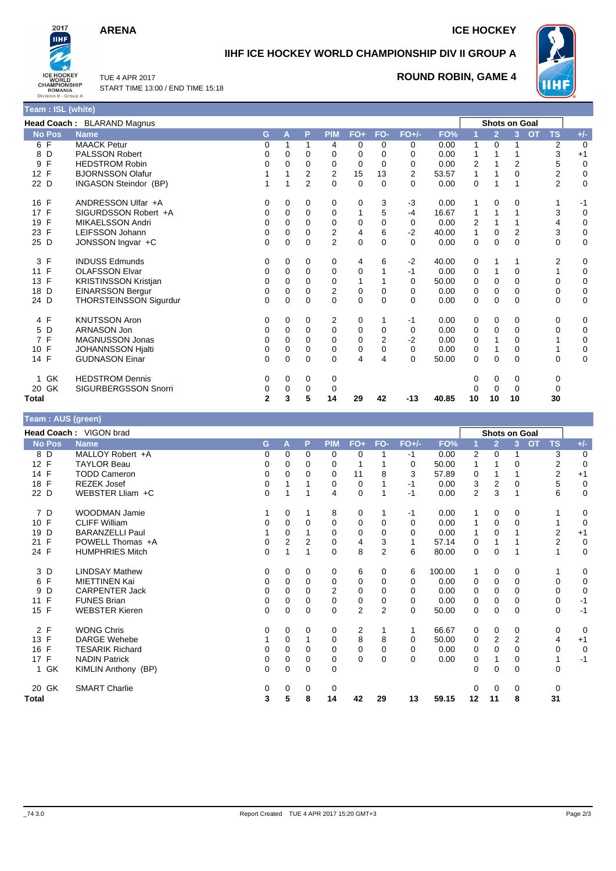## **ARENA** ICE HOCKEY



# **IIHF ICE HOCKEY WORLD CHAMPIONSHIP DIV II GROUP A**



TUE 4 APR 2017 START TIME 13:00 / END TIME 15:18

## **ROUND ROBIN, GAME 4**

|                     | <b>Head Coach: BLARAND Magnus</b> |   |   |                |                |       |              |          |       |    | <b>Shots on Goal</b> |          |                        |             |
|---------------------|-----------------------------------|---|---|----------------|----------------|-------|--------------|----------|-------|----|----------------------|----------|------------------------|-------------|
| <b>No Pos</b>       | <b>Name</b>                       | G | А | P              | <b>PIM</b>     | $FO+$ | FO-          | $FO+/-$  | FO%   |    | $\overline{2}$       | 3        | <b>TS</b><br><b>OT</b> | $+/-$       |
| 6 F                 | <b>MAACK Petur</b>                | 0 |   | 1              | 4              | 0     | 0            | 0        | 0.00  |    | 0                    |          | 2                      | 0           |
| 8 D                 | <b>PALSSON Robert</b>             | 0 | 0 | 0              | $\Omega$       | 0     | <sup>0</sup> | 0        | 0.00  |    |                      |          | 3                      | $+1$        |
| F<br>9              | <b>HEDSTROM Robin</b>             | 0 | 0 | $\Omega$       | 0              | 0     | 0            | 0        | 0.00  | 2  |                      | 2        | 5                      | 0           |
| 12 F                | <b>BJORNSSON Olafur</b>           |   |   | 2              | 2              | 15    | 13           | 2        | 53.57 |    |                      | 0        | 2                      | 0           |
| 22 D                | INGASON Steindor (BP)             |   |   | $\overline{2}$ | $\Omega$       | 0     | $\Omega$     | $\Omega$ | 0.00  | 0  |                      |          | $\overline{2}$         | $\mathbf 0$ |
| 16 F                | ANDRESSON Ulfar +A                | 0 | 0 | 0              | 0              | 0     | 3            | -3       | 0.00  |    | 0                    | 0        |                        | -1          |
| 17 F                | SIGURDSSON Robert +A              | 0 | 0 | $\mathbf 0$    | $\mathbf 0$    |       | 5            | $-4$     | 16.67 |    |                      |          | 3                      | 0           |
| F<br>19             | <b>MIKAELSSON Andri</b>           | 0 | 0 | $\Omega$       | $\mathbf 0$    | 0     | 0            | 0        | 0.00  | 2  |                      |          | 4                      | $\mathbf 0$ |
| 23 F                | LEIFSSON Johann                   | 0 | 0 | $\Omega$       | $\overline{c}$ | 4     | 6            | $-2$     | 40.00 |    | $\Omega$             | 2        | 3                      | $\mathbf 0$ |
| 25 D                | JONSSON Ingvar +C                 | 0 | 0 | $\Omega$       | $\overline{2}$ | 0     | $\Omega$     | $\Omega$ | 0.00  | 0  | $\mathbf 0$          | 0        | 0                      | $\mathbf 0$ |
| F<br>3              | <b>INDUSS Edmunds</b>             | 0 | 0 | 0              | 0              | 4     | 6            | $-2$     | 40.00 | 0  |                      |          | 2                      | 0           |
| F<br>11             | <b>OLAFSSON Elvar</b>             | 0 | 0 | 0              | 0              | 0     |              | -1       | 0.00  | 0  |                      | 0        |                        | 0           |
| 13 F                | <b>KRISTINSSON Kristjan</b>       | 0 | 0 | $\Omega$       | 0              | 1     |              | 0        | 50.00 | 0  | $\Omega$             | 0        | 0                      | $\mathbf 0$ |
| 18<br>D             | <b>EINARSSON Bergur</b>           | 0 | 0 | 0              | $\overline{c}$ | 0     | 0            | 0        | 0.00  | 0  | $\mathbf 0$          | 0        | 0                      | 0           |
| 24 D                | <b>THORSTEINSSON Sigurdur</b>     | 0 | 0 | $\Omega$       | $\Omega$       | 0     | $\Omega$     | $\Omega$ | 0.00  | 0  | $\Omega$             | 0        | 0                      | $\mathbf 0$ |
| 4 F                 | <b>KNUTSSON Aron</b>              | 0 | 0 | 0              | 2              | 0     |              | -1       | 0.00  | 0  | 0                    | 0        | 0                      | 0           |
| 5 D                 | ARNASON Jon                       | 0 | 0 | $\Omega$       | $\Omega$       | 0     | 0            | 0        | 0.00  | 0  | $\Omega$             | 0        | 0                      | $\mathbf 0$ |
| F<br>$\overline{7}$ | <b>MAGNUSSON Jonas</b>            | 0 | 0 | 0              | 0              | 0     | 2            | $-2$     | 0.00  | 0  |                      | 0        |                        | 0           |
| 10 F                | <b>JOHANNSSON Hjalti</b>          | 0 | 0 | $\Omega$       | $\Omega$       | 0     | 0            | $\Omega$ | 0.00  | 0  |                      | 0        |                        | $\mathbf 0$ |
| 14 F                | <b>GUDNASON Einar</b>             | 0 | 0 | $\Omega$       | $\Omega$       | 4     | 4            | $\Omega$ | 50.00 | 0  | $\Omega$             | $\Omega$ | 0                      | $\mathbf 0$ |
| GK                  | <b>HEDSTROM Dennis</b>            | 0 | 0 | 0              | 0              |       |              |          |       | U  | 0                    | 0        | 0                      |             |
| GK<br>20            | SIGURBERGSSON Snorri              | 0 | 0 | 0              | 0              |       |              |          |       |    | $\Omega$             | 0        | 0                      |             |
| Total               |                                   | 2 | 3 | 5              | 14             | 29    | 42           | $-13$    | 40.85 | 10 | 10                   | 10       | 30                     |             |

| Team : AUS (green) |                        |              |                |          |            |                |                |              |        |                |                      |                |                        |             |
|--------------------|------------------------|--------------|----------------|----------|------------|----------------|----------------|--------------|--------|----------------|----------------------|----------------|------------------------|-------------|
|                    | Head Coach: VIGON brad |              |                |          |            |                |                |              |        |                | <b>Shots on Goal</b> |                |                        |             |
| <b>No Pos</b>      | <b>Name</b>            | G.           | A              | P        | <b>PIM</b> | $FO+$          | FO-            | $FO+/-$      | FO%    |                | $\overline{2}$       | 3 <sup>1</sup> | <b>OT</b><br><b>TS</b> | $+/-$       |
| 8 D                | MALLOY Robert +A       | 0            | $\Omega$       | $\Omega$ | $\Omega$   | 0              |                | $-1$         | 0.00   | 2              | $\Omega$             |                | 3                      | $\mathbf 0$ |
| 12 F               | <b>TAYLOR Beau</b>     | 0            | 0              | 0        | 0          |                |                | 0            | 50.00  | 1              |                      | 0              | 2                      | $\mathbf 0$ |
| 14 F               | <b>TODD Cameron</b>    | 0            | $\Omega$       | 0        | $\Omega$   | 11             | 8              | 3            | 57.89  | 0              |                      |                | $\overline{2}$         | $+1$        |
| 18 F               | <b>REZEK Josef</b>     | 0            |                |          | 0          | 0              |                | -1           | 0.00   | 3              | 2                    | 0              | 5                      | $\mathbf 0$ |
| 22 D               | WEBSTER Lliam +C       | 0            |                |          | 4          | $\mathbf 0$    |                | -1           | 0.00   | $\overline{2}$ | 3                    | 1              | 6                      | $\mathbf 0$ |
| 7 D                | WOODMAN Jamie          |              | $\Omega$       |          | 8          | 0              |                | $-1$         | 0.00   | 1              | $\Omega$             | 0              |                        | 0           |
| 10 F               | <b>CLIFF William</b>   | 0            | $\Omega$       | 0        | 0          | 0              | $\Omega$       | $\Omega$     | 0.00   | 1              | 0                    | 0              |                        | 0           |
| D<br>19            | <b>BARANZELLI Paul</b> |              | $\Omega$       |          | 0          | 0              | $\Omega$       | $\Omega$     | 0.00   |                | $\Omega$             |                | 2                      | $+1$        |
| F<br>21            | POWELL Thomas +A       | 0            | $\overline{2}$ | 2        | $\Omega$   | 4              | 3              | 1            | 57.14  | 0              | 1                    |                | 2                      | $\mathbf 0$ |
| 24 F               | <b>HUMPHRIES Mitch</b> | $\mathbf{0}$ |                |          | $\Omega$   | 8              | $\overline{2}$ | 6            | 80.00  | 0              | $\Omega$             |                |                        | $\mathbf 0$ |
| 3 D                | <b>LINDSAY Mathew</b>  | 0            | $\Omega$       | 0        | 0          | 6              | 0              | 6            | 100.00 | 1              | 0                    | 0              |                        | 0           |
| 6 F                | <b>MIETTINEN Kai</b>   | 0            | $\Omega$       | $\Omega$ | 0          | 0              | $\Omega$       | $\Omega$     | 0.00   | 0              | $\Omega$             | $\Omega$       | 0                      | 0           |
| 9<br>D             | <b>CARPENTER Jack</b>  | 0            | 0              | 0        | 2          | 0              | 0              | $\Omega$     | 0.00   | 0              | 0                    | 0              | 0                      | $\mathbf 0$ |
| F<br>11            | <b>FUNES Brian</b>     | 0            | $\Omega$       | 0        | $\Omega$   | 0              | 0              | $\Omega$     | 0.00   | 0              | 0                    | 0              | 0                      | $-1$        |
| 15 F               | <b>WEBSTER Kieren</b>  | 0            | $\Omega$       | 0        | $\Omega$   | $\overline{2}$ | 2              | $\Omega$     | 50.00  | 0              | $\Omega$             | 0              | 0                      | $-1$        |
| 2 F                | <b>WONG Chris</b>      | 0            | 0              | 0        | 0          | 2              |                | $\mathbf{1}$ | 66.67  | 0              | 0                    | 0              | 0                      | 0           |
| 13 F               | <b>DARGE Wehebe</b>    |              | $\Omega$       |          | $\Omega$   | 8              | 8              | 0            | 50.00  | 0              | 2                    | $\overline{2}$ | 4                      | $+1$        |
| 16 F               | <b>TESARIK Richard</b> | 0            | $\Omega$       | 0        | 0          | 0              | $\Omega$       | 0            | 0.00   | 0              | $\Omega$             | 0              | 0                      | $\mathbf 0$ |
| 17 F               | <b>NADIN Patrick</b>   | 0            | 0              | 0        | 0          | $\mathbf 0$    | 0              | $\Omega$     | 0.00   | 0              | 1                    | 0              |                        | $-1$        |
| GK<br>1.           | KIMLIN Anthony (BP)    | 0            | $\Omega$       | $\Omega$ | $\Omega$   |                |                |              |        | 0              | $\Omega$             | $\Omega$       | $\Omega$               |             |
| 20 GK              | <b>SMART Charlie</b>   | 0            | $\Omega$       | 0        | 0          |                |                |              |        | 0              | $\Omega$             | 0              | 0                      |             |
| <b>Total</b>       |                        | 3            | 5              | 8        | 14         | 42             | 29             | 13           | 59.15  | 12             | 11                   | 8              | 31                     |             |